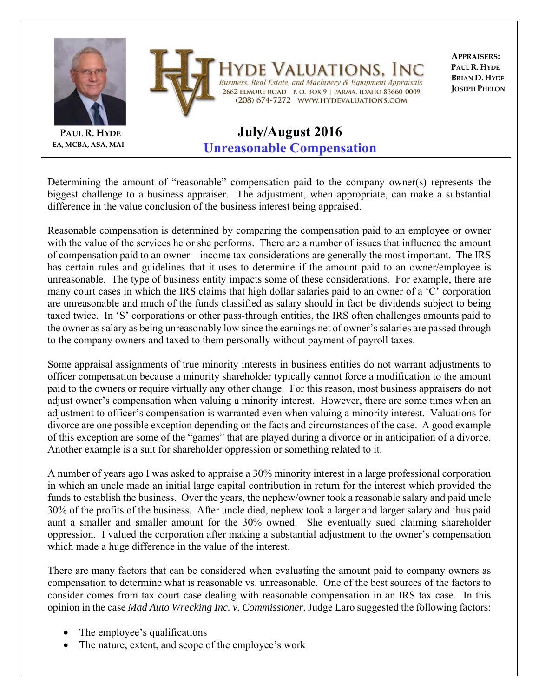

**PAUL R. HYDE EA, MCBA, ASA, MAI**

## VALUATIONS. Business, Real Estate, and Machinery & Equipment Appraisals 2662 ELMORE ROAD - P. O. BOX 9 | PARMA, IDAHO 83660-0009 (208) 674-7272 WWW.HYDEVALUATIONS.COM

**APPRAISERS: PAUL R. HYDE BRIAN D. HYDE JOSEPH PHELON**

## **July/August 2016 Unreasonable Compensation**

Determining the amount of "reasonable" compensation paid to the company owner(s) represents the biggest challenge to a business appraiser. The adjustment, when appropriate, can make a substantial difference in the value conclusion of the business interest being appraised.

Reasonable compensation is determined by comparing the compensation paid to an employee or owner with the value of the services he or she performs. There are a number of issues that influence the amount of compensation paid to an owner – income tax considerations are generally the most important. The IRS has certain rules and guidelines that it uses to determine if the amount paid to an owner/employee is unreasonable. The type of business entity impacts some of these considerations. For example, there are many court cases in which the IRS claims that high dollar salaries paid to an owner of a 'C' corporation are unreasonable and much of the funds classified as salary should in fact be dividends subject to being taxed twice. In 'S' corporations or other pass-through entities, the IRS often challenges amounts paid to the owner as salary as being unreasonably low since the earnings net of owner's salaries are passed through to the company owners and taxed to them personally without payment of payroll taxes.

Some appraisal assignments of true minority interests in business entities do not warrant adjustments to officer compensation because a minority shareholder typically cannot force a modification to the amount paid to the owners or require virtually any other change. For this reason, most business appraisers do not adjust owner's compensation when valuing a minority interest. However, there are some times when an adjustment to officer's compensation is warranted even when valuing a minority interest. Valuations for divorce are one possible exception depending on the facts and circumstances of the case. A good example of this exception are some of the "games" that are played during a divorce or in anticipation of a divorce. Another example is a suit for shareholder oppression or something related to it.

A number of years ago I was asked to appraise a 30% minority interest in a large professional corporation in which an uncle made an initial large capital contribution in return for the interest which provided the funds to establish the business. Over the years, the nephew/owner took a reasonable salary and paid uncle 30% of the profits of the business. After uncle died, nephew took a larger and larger salary and thus paid aunt a smaller and smaller amount for the 30% owned. She eventually sued claiming shareholder oppression. I valued the corporation after making a substantial adjustment to the owner's compensation which made a huge difference in the value of the interest.

There are many factors that can be considered when evaluating the amount paid to company owners as compensation to determine what is reasonable vs. unreasonable. One of the best sources of the factors to consider comes from tax court case dealing with reasonable compensation in an IRS tax case. In this opinion in the case *Mad Auto Wrecking Inc. v. Commissioner*, Judge Laro suggested the following factors:

- The employee's qualifications
- The nature, extent, and scope of the employee's work